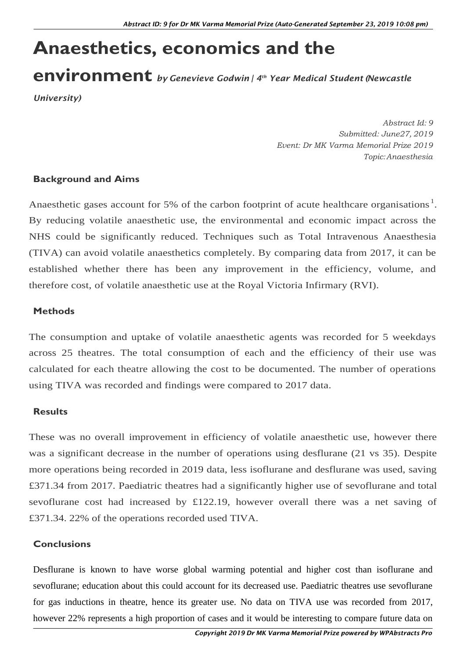# **Anaesthetics, economics and the**

## **environment** *by Genevieve Godwin <sup>|</sup> <sup>4</sup> th Year Medical Student (Newcastle*

*University)*

*Abstract Id: 9 Submitted: June27, 2019 Event: Dr MK Varma Memorial Prize 2019 Topic:Anaesthesia*

### **Background and Aims**

Anaesthetic gases account for 5% of the carbon footprint of acute healthcare organisations<sup>1</sup>. By reducing volatile anaesthetic use, the environmental and economic impact across the NHS could be significantly reduced. Techniques such as Total Intravenous Anaesthesia (TIVA) can avoid volatile anaesthetics completely. By comparing data from 2017, it can be established whether there has been any improvement in the efficiency, volume, and therefore cost, of volatile anaesthetic use at the Royal Victoria Infirmary (RVI).

#### **Methods**

The consumption and uptake of volatile anaesthetic agents was recorded for 5 weekdays across 25 theatres. The total consumption of each and the efficiency of their use was calculated for each theatre allowing the cost to be documented. The number of operations using TIVA was recorded and findings were compared to 2017 data.

#### **Results**

These was no overall improvement in efficiency of volatile anaesthetic use, however there was a significant decrease in the number of operations using desflurane (21 vs 35). Despite more operations being recorded in 2019 data, less isoflurane and desflurane was used, saving £371.34 from 2017. Paediatric theatres had a significantly higher use of sevoflurane and total sevoflurane cost had increased by £122.19, however overall there was a net saving of £371.34. 22% of the operations recorded used TIVA.

#### **Conclusions**

Desflurane is known to have worse global warming potential and higher cost than isoflurane and sevoflurane; education about this could account for its decreased use. Paediatric theatres use sevoflurane for gas inductions in theatre, hence its greater use. No data on TIVA use was recorded from 2017, however 22% represents a high proportion of cases and it would be interesting to compare future data on